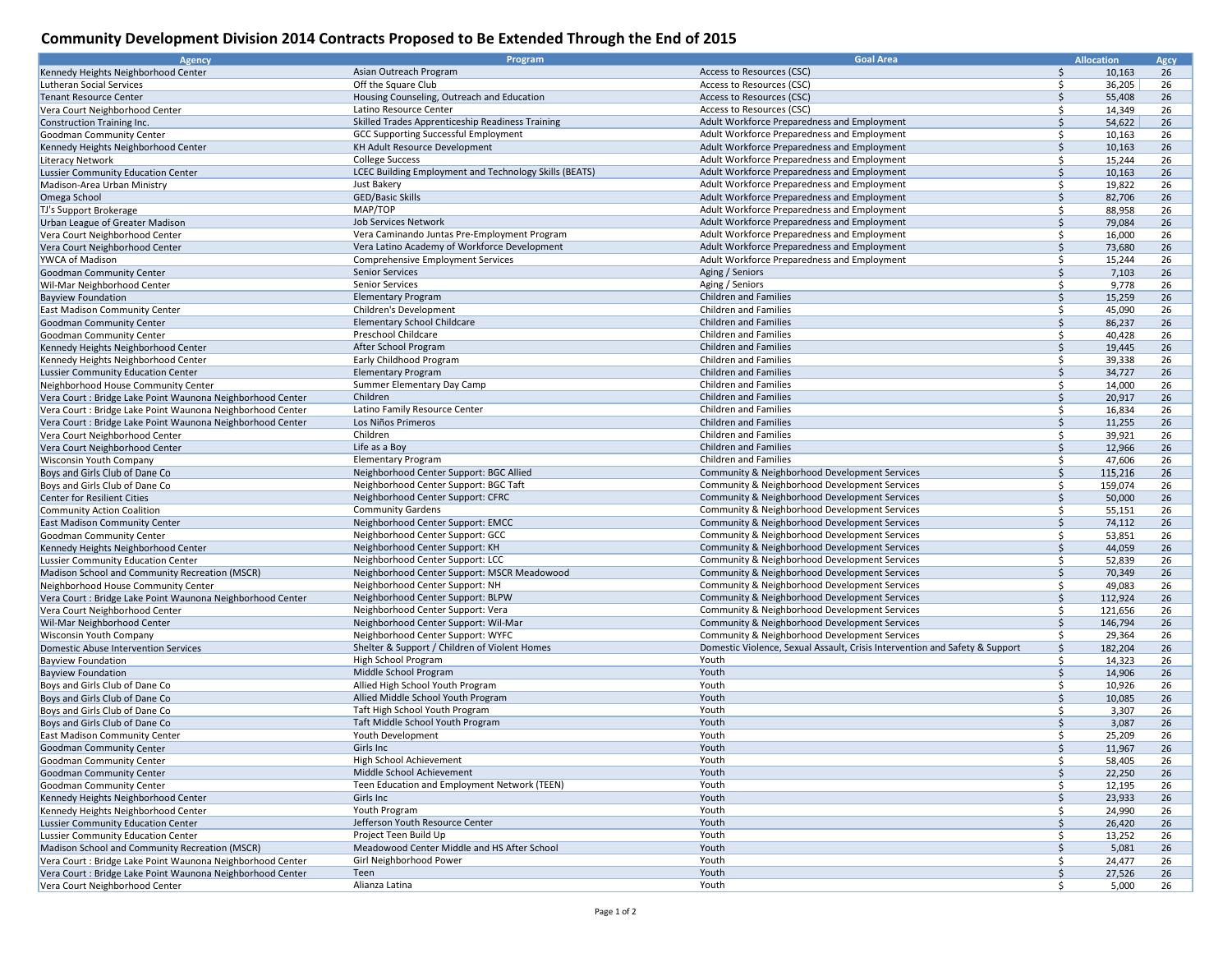## **Community Development Division 2014 Contracts Proposed to Be Extended Through the End of 2015**

| Agency                                                     | Program                                                       | <b>Goal Area</b>                                                            |               | <b>Allocation</b> | Agcy |
|------------------------------------------------------------|---------------------------------------------------------------|-----------------------------------------------------------------------------|---------------|-------------------|------|
| Kennedy Heights Neighborhood Center                        | Asian Outreach Program                                        | Access to Resources (CSC)                                                   | Ŝ.            | 10,163            | 26   |
| Lutheran Social Services                                   | Off the Square Club                                           | Access to Resources (CSC)                                                   | Ŝ             | 36,205            | 26   |
| <b>Tenant Resource Center</b>                              | Housing Counseling, Outreach and Education                    | Access to Resources (CSC)                                                   | <sup>\$</sup> | 55,408            | 26   |
| Vera Court Neighborhood Center                             | Latino Resource Center                                        | Access to Resources (CSC)                                                   | $\zeta$       | 14,349            | 26   |
| Construction Training Inc.                                 | Skilled Trades Apprenticeship Readiness Training              | Adult Workforce Preparedness and Employment                                 | <sup>\$</sup> | 54,622            | 26   |
| Goodman Community Center                                   | <b>GCC Supporting Successful Employment</b>                   | Adult Workforce Preparedness and Employment                                 | Ŝ             | 10,163            | 26   |
| Kennedy Heights Neighborhood Center                        | KH Adult Resource Development                                 | Adult Workforce Preparedness and Employment                                 | <sup>\$</sup> | 10,163            | 26   |
| <b>Literacy Network</b>                                    | <b>College Success</b>                                        | Adult Workforce Preparedness and Employment                                 | \$            | 15,244            | 26   |
|                                                            | LCEC Building Employment and Technology Skills (BEATS)        | Adult Workforce Preparedness and Employment                                 | $\mathsf{S}$  |                   | 26   |
| <b>Lussier Community Education Center</b>                  | Just Bakery                                                   |                                                                             |               | 10,163            |      |
| Madison-Area Urban Ministry                                |                                                               | Adult Workforce Preparedness and Employment                                 | \$<br>Ŝ.      | 19,822            | 26   |
| Omega School                                               | <b>GED/Basic Skills</b><br>MAP/TOP                            | Adult Workforce Preparedness and Employment                                 |               | 82,706            | 26   |
| TJ's Support Brokerage                                     |                                                               | Adult Workforce Preparedness and Employment                                 | Ŝ             | 88,958            | 26   |
| Urban League of Greater Madison                            | Job Services Network                                          | Adult Workforce Preparedness and Employment                                 | $\zeta$       | 79,084            | 26   |
| Vera Court Neighborhood Center                             | Vera Caminando Juntas Pre-Employment Program                  | Adult Workforce Preparedness and Employment                                 | \$            | 16,000            | 26   |
| Vera Court Neighborhood Center                             | Vera Latino Academy of Workforce Development                  | Adult Workforce Preparedness and Employment                                 | \$            | 73,680            | 26   |
| YWCA of Madison                                            | <b>Comprehensive Employment Services</b>                      | Adult Workforce Preparedness and Employment                                 | \$            | 15,244            | 26   |
| Goodman Community Center                                   | Senior Services                                               | Aging / Seniors                                                             | \$            | 7,103             | 26   |
| Wil-Mar Neighborhood Center                                | <b>Senior Services</b>                                        | Aging / Seniors                                                             | Ŝ             | 9,778             | 26   |
| <b>Bayview Foundation</b>                                  | <b>Elementary Program</b>                                     | <b>Children and Families</b>                                                | $\zeta$       | 15,259            | 26   |
| <b>East Madison Community Center</b>                       | Children's Development                                        | <b>Children and Families</b>                                                | Ŝ.            | 45,090            | 26   |
| Goodman Community Center                                   | <b>Elementary School Childcare</b>                            | <b>Children and Families</b>                                                | Ŝ.            | 86,237            | 26   |
| Goodman Community Center                                   | Preschool Childcare                                           | Children and Families                                                       | <sup>\$</sup> | 40,428            | 26   |
| Kennedy Heights Neighborhood Center                        | After School Program                                          | <b>Children and Families</b>                                                | <sup>\$</sup> | 19,445            | 26   |
| Kennedy Heights Neighborhood Center                        | Early Childhood Program                                       | Children and Families                                                       | Ŝ             | 39,338            | 26   |
| <b>Lussier Community Education Center</b>                  | <b>Elementary Program</b>                                     | <b>Children and Families</b>                                                | $\zeta$       | 34,727            | 26   |
| Neighborhood House Community Center                        | Summer Elementary Day Camp                                    | Children and Families                                                       | Ŝ.            | 14,000            | 26   |
| Vera Court : Bridge Lake Point Waunona Neighborhood Center | Children                                                      | <b>Children and Families</b>                                                | \$            | 20,917            | 26   |
| Vera Court : Bridge Lake Point Waunona Neighborhood Center | Latino Family Resource Center                                 | Children and Families                                                       | \$            | 16,834            | 26   |
| Vera Court : Bridge Lake Point Waunona Neighborhood Center | Los Niños Primeros                                            | <b>Children and Families</b>                                                | $\zeta$       | 11,255            | 26   |
| Vera Court Neighborhood Center                             | Children                                                      | Children and Families                                                       | Ŝ             | 39,921            | 26   |
| Vera Court Neighborhood Center                             | Life as a Boy                                                 | <b>Children and Families</b>                                                | <sup>\$</sup> | 12,966            | 26   |
| <b>Wisconsin Youth Company</b>                             | <b>Elementary Program</b>                                     | <b>Children and Families</b>                                                | Ŝ.            | 47,606            | 26   |
| Boys and Girls Club of Dane Co                             | Neighborhood Center Support: BGC Allied                       | Community & Neighborhood Development Services                               | Ŝ             | 115,216           | 26   |
| Boys and Girls Club of Dane Co                             | Neighborhood Center Support: BGC Taft                         | Community & Neighborhood Development Services                               | \$            | 159,074           | 26   |
|                                                            | Neighborhood Center Support: CFRC                             | Community & Neighborhood Development Services                               | <sup>\$</sup> |                   | 26   |
| Center for Resilient Cities                                |                                                               |                                                                             | Ŝ             | 50,000            |      |
| Community Action Coalition                                 | <b>Community Gardens</b><br>Neighborhood Center Support: EMCC | Community & Neighborhood Development Services                               | <sup>\$</sup> | 55,151            | 26   |
| <b>East Madison Community Center</b>                       |                                                               | Community & Neighborhood Development Services                               |               | 74,112            | 26   |
| Goodman Community Center                                   | Neighborhood Center Support: GCC                              | Community & Neighborhood Development Services                               | Ŝ.            | 53,851            | 26   |
| Kennedy Heights Neighborhood Center                        | Neighborhood Center Support: KH                               | Community & Neighborhood Development Services                               | \$            | 44,059            | 26   |
| Lussier Community Education Center                         | Neighborhood Center Support: LCC                              | Community & Neighborhood Development Services                               | Ŝ             | 52,839            | 26   |
| Madison School and Community Recreation (MSCR)             | Neighborhood Center Support: MSCR Meadowood                   | Community & Neighborhood Development Services                               | <sup>\$</sup> | 70,349            | 26   |
| Neighborhood House Community Center                        | Neighborhood Center Support: NH                               | Community & Neighborhood Development Services                               | Ŝ.            | 49,083            | 26   |
| Vera Court : Bridge Lake Point Waunona Neighborhood Center | Neighborhood Center Support: BLPW                             | Community & Neighborhood Development Services                               | <sup>\$</sup> | 112,924           | 26   |
| Vera Court Neighborhood Center                             | Neighborhood Center Support: Vera                             | Community & Neighborhood Development Services                               | Ŝ.            | 121,656           | 26   |
| Wil-Mar Neighborhood Center                                | Neighborhood Center Support: Wil-Mar                          | Community & Neighborhood Development Services                               | Ŝ.            | 146,794           | 26   |
| <b>Wisconsin Youth Company</b>                             | Neighborhood Center Support: WYFC                             | Community & Neighborhood Development Services                               | \$            | 29,364            | 26   |
| Domestic Abuse Intervention Services                       | Shelter & Support / Children of Violent Homes                 | Domestic Violence, Sexual Assault, Crisis Intervention and Safety & Support | $\mathsf{S}$  | 182,204           | 26   |
| <b>Bayview Foundation</b>                                  | High School Program                                           | Youth                                                                       | Ŝ.            | 14,323            | 26   |
| <b>Bayview Foundation</b>                                  | Middle School Program                                         | Youth                                                                       | \$            | 14,906            | 26   |
| Boys and Girls Club of Dane Co                             | Allied High School Youth Program                              | Youth                                                                       | \$            | 10,926            | 26   |
| Boys and Girls Club of Dane Co                             | Allied Middle School Youth Program                            | Youth                                                                       | Ŝ.            | 10,085            | 26   |
| Boys and Girls Club of Dane Co                             | Taft High School Youth Program                                | Youth                                                                       | \$            | 3,307             | 26   |
| Boys and Girls Club of Dane Co                             | Taft Middle School Youth Program                              | Youth                                                                       | <sup>\$</sup> | 3,087             | 26   |
| <b>East Madison Community Center</b>                       | Youth Development                                             | Youth                                                                       | <sup>\$</sup> | 25,209            | 26   |
| Goodman Community Center                                   | Girls Inc                                                     | Youth                                                                       | Ŝ.            | 11,967            | 26   |
| Goodman Community Center                                   | High School Achievement                                       | Youth                                                                       | \$            | 58,405            | 26   |
| Goodman Community Center                                   | Middle School Achievement                                     | Youth                                                                       | \$            | 22,250            | 26   |
| Goodman Community Center                                   | Teen Education and Employment Network (TEEN)                  | Youth                                                                       | \$            | 12,195            | 26   |
| Kennedy Heights Neighborhood Center                        | Girls Inc                                                     | Youth                                                                       | \$            | 23,933            | 26   |
| Kennedy Heights Neighborhood Center                        | Youth Program                                                 | Youth                                                                       | \$            | 24,990            | 26   |
| Lussier Community Education Center                         | Jefferson Youth Resource Center                               | Youth                                                                       | \$            | 26,420            | 26   |
| Lussier Community Education Center                         | Project Teen Build Up                                         | Youth                                                                       | \$            | 13,252            | 26   |
| Madison School and Community Recreation (MSCR)             | Meadowood Center Middle and HS After School                   | Youth                                                                       | Ŝ.            | 5,081             | 26   |
| Vera Court : Bridge Lake Point Waunona Neighborhood Center | Girl Neighborhood Power                                       | Youth                                                                       | \$            | 24,477            | 26   |
| Vera Court : Bridge Lake Point Waunona Neighborhood Center | Teen                                                          | Youth                                                                       | \$            | 27,526            | 26   |
| Vera Court Neighborhood Center                             | Alianza Latina                                                | Youth                                                                       | Ŝ.            | 5,000             | 26   |
|                                                            |                                                               |                                                                             |               |                   |      |